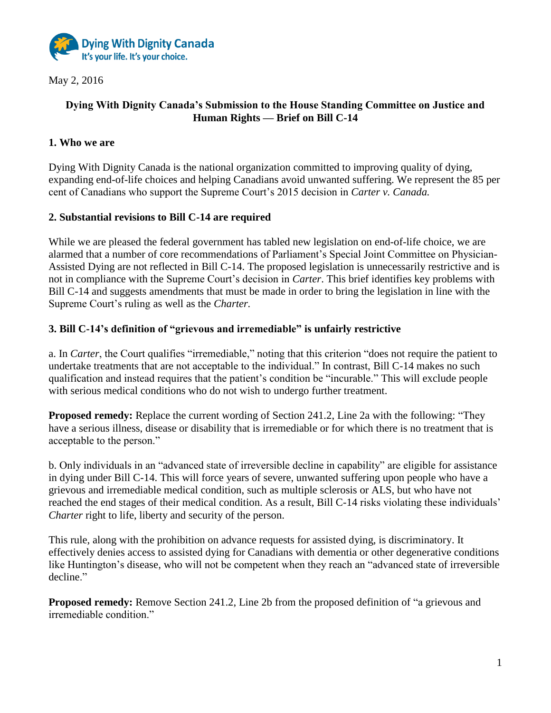

May 2, 2016

# **Dying With Dignity Canada's Submission to the House Standing Committee on Justice and Human Rights — Brief on Bill C-14**

## **1. Who we are**

Dying With Dignity Canada is the national organization committed to improving quality of dying, expanding end-of-life choices and helping Canadians avoid unwanted suffering. We represent the 85 per cent of Canadians who support the Supreme Court's 2015 decision in *Carter v. Canada.*

### **2. Substantial revisions to Bill C-14 are required**

While we are pleased the federal government has tabled new legislation on end-of-life choice, we are alarmed that a number of core recommendations of Parliament's Special Joint Committee on Physician-Assisted Dying are not reflected in Bill C-14. The proposed legislation is unnecessarily restrictive and is not in compliance with the Supreme Court's decision in *Carter*. This brief identifies key problems with Bill C-14 and suggests amendments that must be made in order to bring the legislation in line with the Supreme Court's ruling as well as the *Charter.*

### **3. Bill C-14's definition of "grievous and irremediable" is unfairly restrictive**

a. In *Carter*, the Court qualifies "irremediable," noting that this criterion "does not require the patient to undertake treatments that are not acceptable to the individual." In contrast, Bill C-14 makes no such qualification and instead requires that the patient's condition be "incurable." This will exclude people with serious medical conditions who do not wish to undergo further treatment.

**Proposed remedy:** Replace the current wording of Section 241.2, Line 2a with the following: "They have a serious illness, disease or disability that is irremediable or for which there is no treatment that is acceptable to the person."

b. Only individuals in an "advanced state of irreversible decline in capability" are eligible for assistance in dying under Bill C-14. This will force years of severe, unwanted suffering upon people who have a grievous and irremediable medical condition, such as multiple sclerosis or ALS, but who have not reached the end stages of their medical condition. As a result, Bill C-14 risks violating these individuals' *Charter* right to life, liberty and security of the person.

This rule, along with the prohibition on advance requests for assisted dying, is discriminatory. It effectively denies access to assisted dying for Canadians with dementia or other degenerative conditions like Huntington's disease, who will not be competent when they reach an "advanced state of irreversible decline."

**Proposed remedy:** Remove Section 241.2, Line 2b from the proposed definition of "a grievous and irremediable condition."